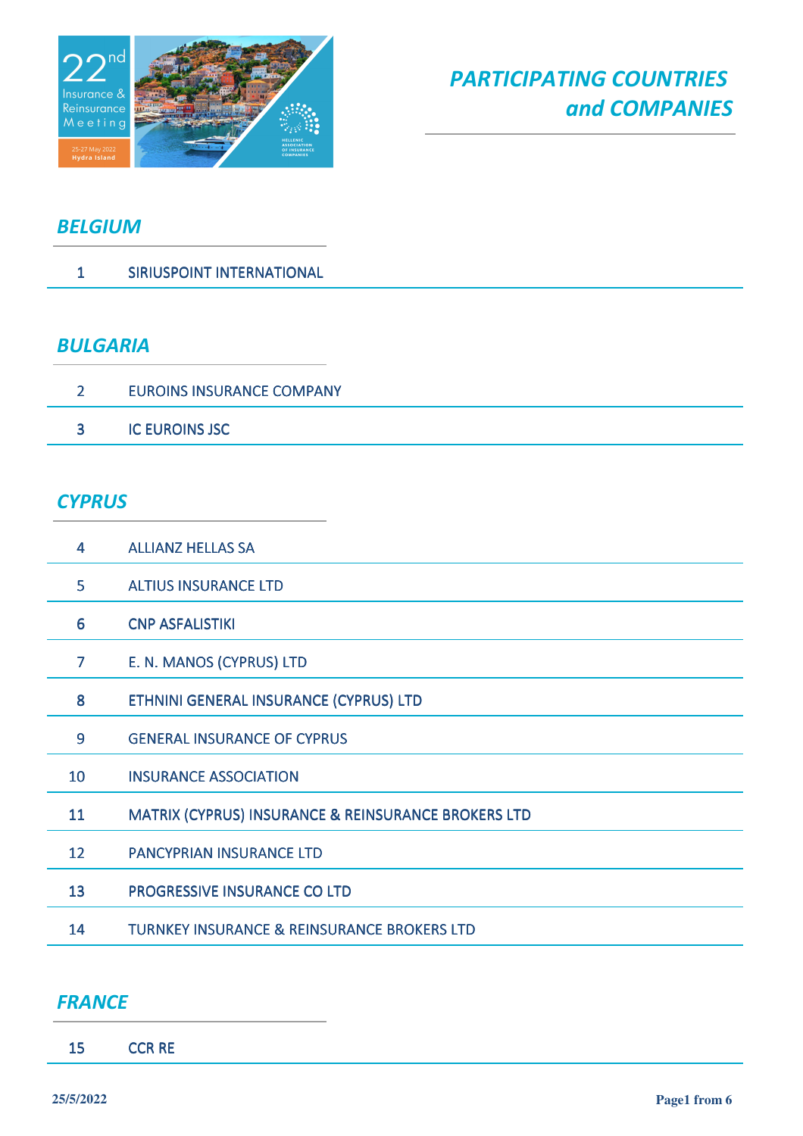

### *BELGIUM*

SIRIUSPOINT INTERNATIONAL

#### *BULGARIA*

| EUROINS INSURANCE COMPANY |
|---------------------------|
| <b>IC EUROINS JSC</b>     |

#### *CYPRUS*

| 4                 | <b>ALLIANZ HELLAS SA</b>                                       |
|-------------------|----------------------------------------------------------------|
| 5                 | <b>ALTIUS INSURANCE LTD</b>                                    |
| 6                 | <b>CNP ASFALISTIKI</b>                                         |
| $\overline{7}$    | E. N. MANOS (CYPRUS) LTD                                       |
| 8                 | ETHNINI GENERAL INSURANCE (CYPRUS) LTD                         |
| 9                 | <b>GENERAL INSURANCE OF CYPRUS</b>                             |
| 10                | <b>INSURANCE ASSOCIATION</b>                                   |
| 11                | <b>MATRIX (CYPRUS) INSURANCE &amp; REINSURANCE BROKERS LTD</b> |
| $12 \overline{ }$ | <b>PANCYPRIAN INSURANCE LTD</b>                                |
| 13                | <b>PROGRESSIVE INSURANCE CO LTD</b>                            |
| 14                | <b>TURNKEY INSURANCE &amp; REINSURANCE BROKERS LTD</b>         |
|                   |                                                                |

#### *FRANCE*

CCR RE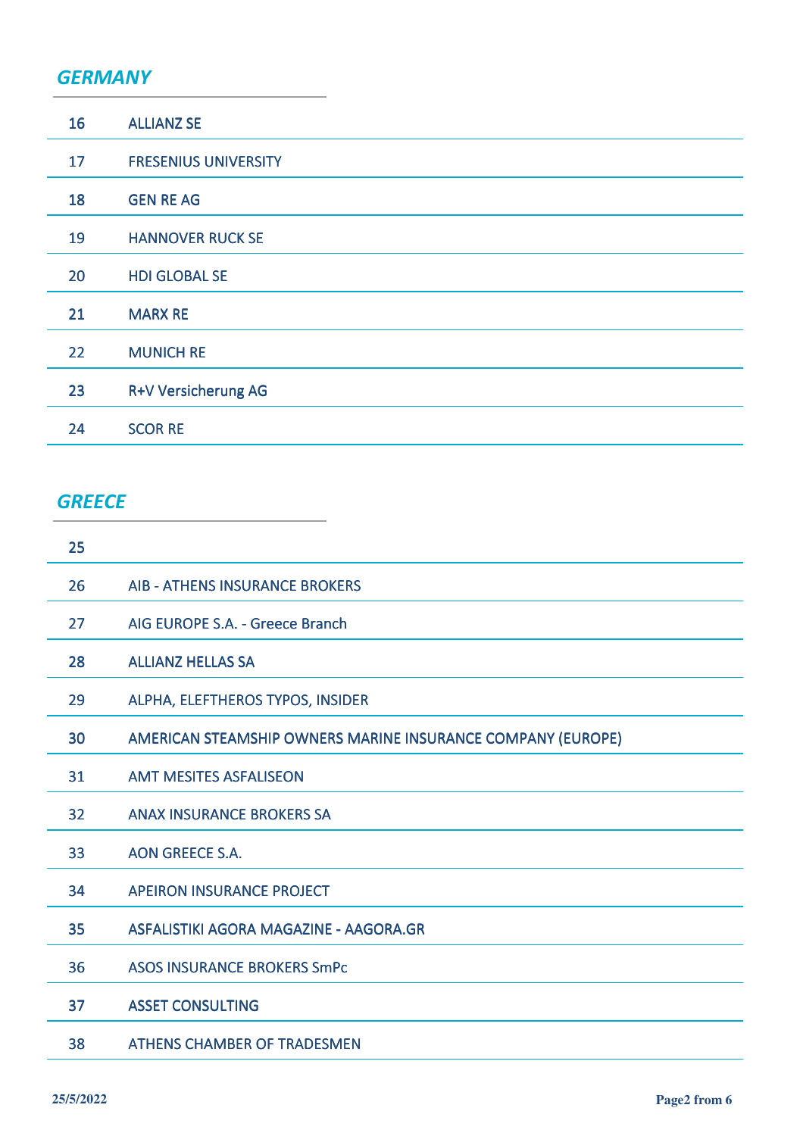#### *GERMANY*

| 16 | <b>ALLIANZ SE</b>           |
|----|-----------------------------|
| 17 | <b>FRESENIUS UNIVERSITY</b> |
| 18 | <b>GEN RE AG</b>            |
| 19 | <b>HANNOVER RUCK SE</b>     |
| 20 | <b>HDI GLOBAL SE</b>        |
| 21 | <b>MARX RE</b>              |
| 22 | <b>MUNICH RE</b>            |
| 23 | <b>R+V Versicherung AG</b>  |
| 24 | <b>SCOR RE</b>              |

# *GREECE*

| 25 |                                                             |
|----|-------------------------------------------------------------|
| 26 | <b>AIB - ATHENS INSURANCE BROKERS</b>                       |
| 27 | AIG EUROPE S.A. - Greece Branch                             |
| 28 | <b>ALLIANZ HELLAS SA</b>                                    |
| 29 | ALPHA, ELEFTHEROS TYPOS, INSIDER                            |
| 30 | AMERICAN STEAMSHIP OWNERS MARINE INSURANCE COMPANY (EUROPE) |
| 31 | <b>AMT MESITES ASFALISEON</b>                               |
| 32 | <b>ANAX INSURANCE BROKERS SA</b>                            |
| 33 | <b>AON GREECE S.A.</b>                                      |
| 34 | <b>APEIRON INSURANCE PROJECT</b>                            |
| 35 | ASFALISTIKI AGORA MAGAZINE - AAGORA.GR                      |
| 36 | <b>ASOS INSURANCE BROKERS SmPc</b>                          |
| 37 | <b>ASSET CONSULTING</b>                                     |
| 38 | <b>ATHENS CHAMBER OF TRADESMEN</b>                          |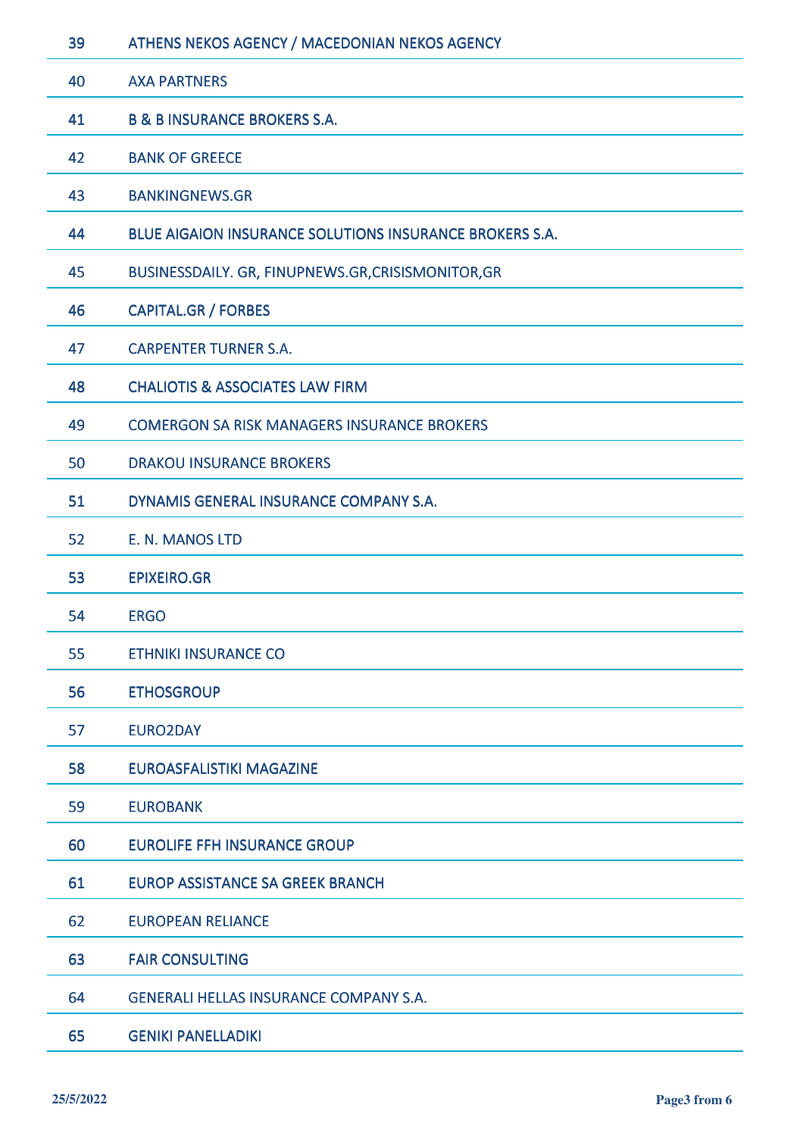| 39 | ATHENS NEKOS AGENCY / MACEDONIAN NEKOS AGENCY           |
|----|---------------------------------------------------------|
| 40 | <b>AXA PARTNERS</b>                                     |
| 41 | <b>B &amp; B INSURANCE BROKERS S.A.</b>                 |
| 42 | <b>BANK OF GREECE</b>                                   |
| 43 | <b>BANKINGNEWS.GR</b>                                   |
| 44 | BLUE AIGAION INSURANCE SOLUTIONS INSURANCE BROKERS S.A. |
| 45 | BUSINESSDAILY. GR, FINUPNEWS.GR, CRISISMONITOR, GR      |
| 46 | <b>CAPITAL.GR / FORBES</b>                              |
| 47 | <b>CARPENTER TURNER S.A.</b>                            |
| 48 | <b>CHALIOTIS &amp; ASSOCIATES LAW FIRM</b>              |
| 49 | <b>COMERGON SA RISK MANAGERS INSURANCE BROKERS</b>      |
| 50 | <b>DRAKOU INSURANCE BROKERS</b>                         |
| 51 | DYNAMIS GENERAL INSURANCE COMPANY S.A.                  |
| 52 | E. N. MANOS LTD                                         |
| 53 | <b>EPIXEIRO.GR</b>                                      |
| 54 | <b>ERGO</b>                                             |
| 55 | <b>ETHNIKI INSURANCE CO</b>                             |
| 56 | <b>ETHOSGROUP</b>                                       |
| 57 | <b>EURO2DAY</b>                                         |
| 58 | <b>EUROASFALISTIKI MAGAZINE</b>                         |
| 59 | <b>EUROBANK</b>                                         |
| 60 | <b>EUROLIFE FFH INSURANCE GROUP</b>                     |
| 61 | <b>EUROP ASSISTANCE SA GREEK BRANCH</b>                 |
| 62 | <b>EUROPEAN RELIANCE</b>                                |
| 63 | <b>FAIR CONSULTING</b>                                  |
| 64 | <b>GENERALI HELLAS INSURANCE COMPANY S.A.</b>           |
| 65 | <b>GENIKI PANELLADIKI</b>                               |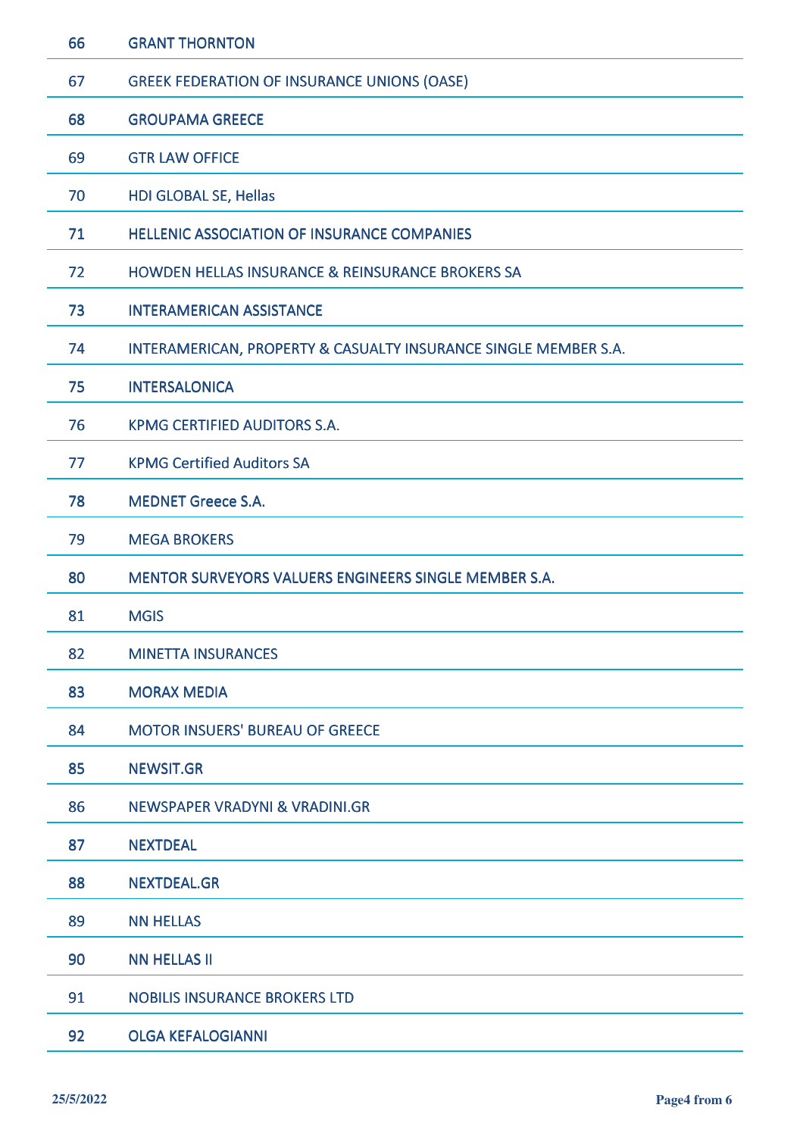| 66 | <b>GRANT THORNTON</b>                                           |
|----|-----------------------------------------------------------------|
| 67 | <b>GREEK FEDERATION OF INSURANCE UNIONS (OASE)</b>              |
| 68 | <b>GROUPAMA GREECE</b>                                          |
| 69 | <b>GTR LAW OFFICE</b>                                           |
| 70 | HDI GLOBAL SE, Hellas                                           |
| 71 | <b>HELLENIC ASSOCIATION OF INSURANCE COMPANIES</b>              |
| 72 | HOWDEN HELLAS INSURANCE & REINSURANCE BROKERS SA                |
| 73 | <b>INTERAMERICAN ASSISTANCE</b>                                 |
| 74 | INTERAMERICAN, PROPERTY & CASUALTY INSURANCE SINGLE MEMBER S.A. |
| 75 | <b>INTERSALONICA</b>                                            |
| 76 | KPMG CERTIFIED AUDITORS S.A.                                    |
| 77 | <b>KPMG Certified Auditors SA</b>                               |
| 78 | <b>MEDNET Greece S.A.</b>                                       |
| 79 | <b>MEGA BROKERS</b>                                             |
| 80 | <b>MENTOR SURVEYORS VALUERS ENGINEERS SINGLE MEMBER S.A.</b>    |
| 81 | <b>MGIS</b>                                                     |
| 82 | <b>MINETTA INSURANCES</b>                                       |
| 83 | <b>MORAX MEDIA</b>                                              |
| 84 | <b>MOTOR INSUERS' BUREAU OF GREECE</b>                          |
| 85 | <b>NEWSIT.GR</b>                                                |
| 86 | <b>NEWSPAPER VRADYNI &amp; VRADINI.GR</b>                       |
| 87 | <b>NEXTDEAL</b>                                                 |
| 88 | <b>NEXTDEAL.GR</b>                                              |
| 89 | <b>NN HELLAS</b>                                                |
| 90 | <b>NN HELLAS II</b>                                             |
| 91 | <b>NOBILIS INSURANCE BROKERS LTD</b>                            |
| 92 | <b>OLGA KEFALOGIANNI</b>                                        |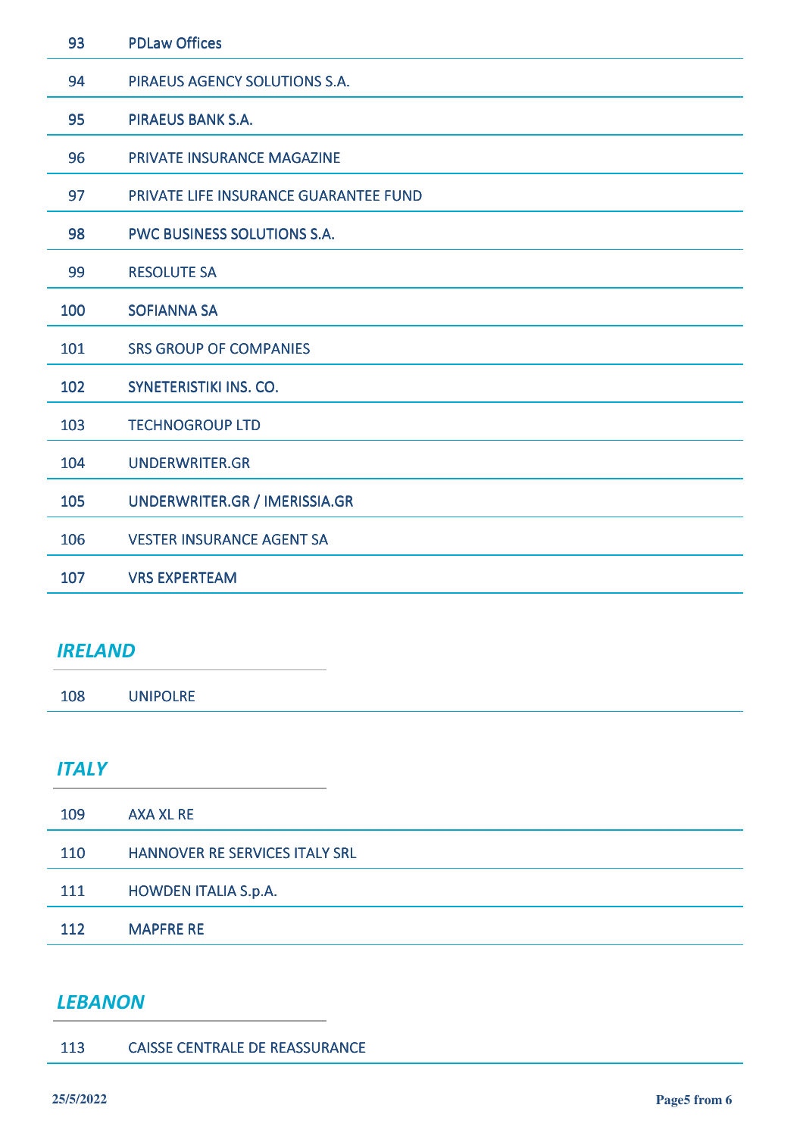| 93  | <b>PDLaw Offices</b>                  |
|-----|---------------------------------------|
| 94  | PIRAEUS AGENCY SOLUTIONS S.A.         |
| 95  | <b>PIRAEUS BANK S.A.</b>              |
| 96  | <b>PRIVATE INSURANCE MAGAZINE</b>     |
| 97  | PRIVATE LIFE INSURANCE GUARANTEE FUND |
| 98  | <b>PWC BUSINESS SOLUTIONS S.A.</b>    |
| 99  | <b>RESOLUTE SA</b>                    |
| 100 | <b>SOFIANNA SA</b>                    |
| 101 | <b>SRS GROUP OF COMPANIES</b>         |
| 102 | <b>SYNETERISTIKI INS. CO.</b>         |
| 103 | <b>TECHNOGROUP LTD</b>                |
| 104 | <b>UNDERWRITER.GR</b>                 |
| 105 | UNDERWRITER.GR / IMERISSIA.GR         |
| 106 | <b>VESTER INSURANCE AGENT SA</b>      |
| 107 | <b>VRS EXPERTEAM</b>                  |

### *IRELAND*

UNIPOLRE

## *ITALY*

| 109        | <b>AXA XL RE</b>                      |
|------------|---------------------------------------|
| <b>110</b> | <b>HANNOVER RE SERVICES ITALY SRL</b> |
| 111        | <b>HOWDEN ITALIA S.p.A.</b>           |
| 112        | <b>MAPFRE RE</b>                      |

### *LEBANON*

| 113 | <b>CAISSE CENTRALE DE REASSURANCE</b> |
|-----|---------------------------------------|
|     |                                       |